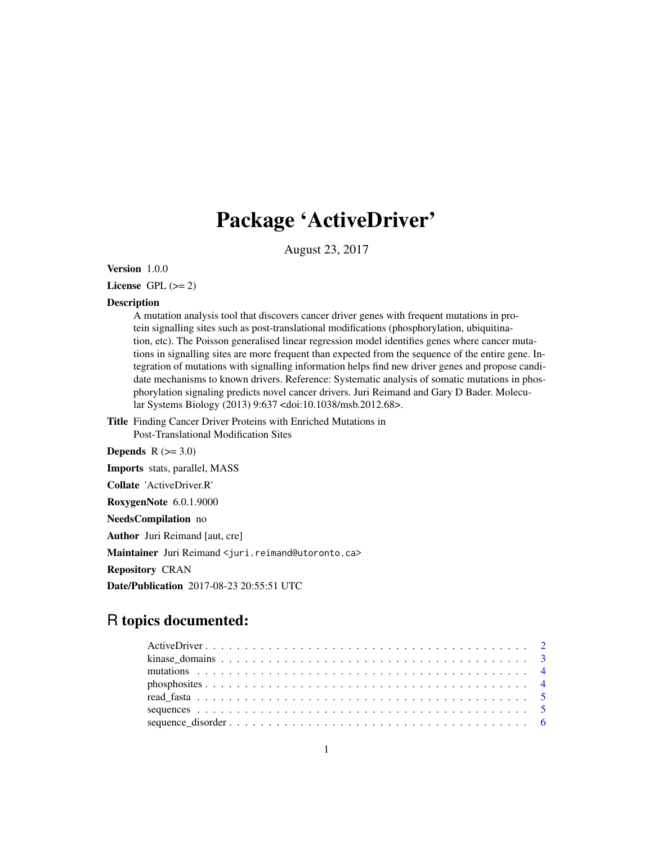# Package 'ActiveDriver'

August 23, 2017

Version 1.0.0

License GPL  $(>= 2)$ 

#### Description

A mutation analysis tool that discovers cancer driver genes with frequent mutations in protein signalling sites such as post-translational modifications (phosphorylation, ubiquitination, etc). The Poisson generalised linear regression model identifies genes where cancer mutations in signalling sites are more frequent than expected from the sequence of the entire gene. Integration of mutations with signalling information helps find new driver genes and propose candidate mechanisms to known drivers. Reference: Systematic analysis of somatic mutations in phosphorylation signaling predicts novel cancer drivers. Juri Reimand and Gary D Bader. Molecular Systems Biology (2013) 9:637 <doi:10.1038/msb.2012.68>.

- Title Finding Cancer Driver Proteins with Enriched Mutations in Post-Translational Modification Sites
- Depends  $R$  ( $>= 3.0$ )

Imports stats, parallel, MASS

Collate 'ActiveDriver.R'

RoxygenNote 6.0.1.9000

NeedsCompilation no

Author Juri Reimand [aut, cre]

Maintainer Juri Reimand <juri.reimand@utoronto.ca>

Repository CRAN

Date/Publication 2017-08-23 20:55:51 UTC

## R topics documented: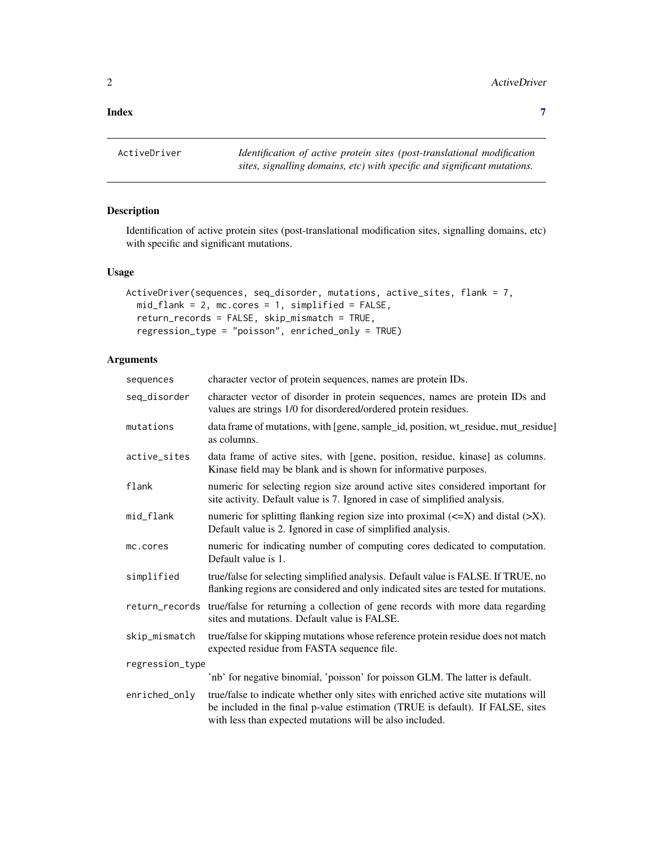#### <span id="page-1-0"></span>**Index** [7](#page-6-0) **7**

ActiveDriver *Identification of active protein sites (post-translational modification sites, signalling domains, etc) with specific and significant mutations.*

#### Description

Identification of active protein sites (post-translational modification sites, signalling domains, etc) with specific and significant mutations.

#### Usage

```
ActiveDriver(sequences, seq_disorder, mutations, active_sites, flank = 7,
 mid_flank = 2, mc.cores = 1, simplified = FALSE,
  return_records = FALSE, skip_mismatch = TRUE,
  regression_type = "poisson", enriched_only = TRUE)
```
#### Arguments

| sequences       | character vector of protein sequences, names are protein IDs.                                                                                                                                                                    |
|-----------------|----------------------------------------------------------------------------------------------------------------------------------------------------------------------------------------------------------------------------------|
| seg_disorder    | character vector of disorder in protein sequences, names are protein IDs and<br>values are strings 1/0 for disordered/ordered protein residues.                                                                                  |
| mutations       | data frame of mutations, with [gene, sample_id, position, wt_residue, mut_residue]<br>as columns.                                                                                                                                |
| active_sites    | data frame of active sites, with [gene, position, residue, kinase] as columns.<br>Kinase field may be blank and is shown for informative purposes.                                                                               |
| flank           | numeric for selecting region size around active sites considered important for<br>site activity. Default value is 7. Ignored in case of simplified analysis.                                                                     |
| mid_flank       | numeric for splitting flanking region size into proximal $(\leq X)$ and distal ( $\geq X$ ).<br>Default value is 2. Ignored in case of simplified analysis.                                                                      |
| mc.cores        | numeric for indicating number of computing cores dedicated to computation.<br>Default value is 1.                                                                                                                                |
| simplified      | true/false for selecting simplified analysis. Default value is FALSE. If TRUE, no<br>flanking regions are considered and only indicated sites are tested for mutations.                                                          |
|                 | return_records true/false for returning a collection of gene records with more data regarding<br>sites and mutations. Default value is FALSE.                                                                                    |
| skip_mismatch   | true/false for skipping mutations whose reference protein residue does not match<br>expected residue from FASTA sequence file.                                                                                                   |
| regression_type |                                                                                                                                                                                                                                  |
|                 | 'nb' for negative binomial, 'poisson' for poisson GLM. The latter is default.                                                                                                                                                    |
| enriched_only   | true/false to indicate whether only sites with enriched active site mutations will<br>be included in the final p-value estimation (TRUE is default). If FALSE, sites<br>with less than expected mutations will be also included. |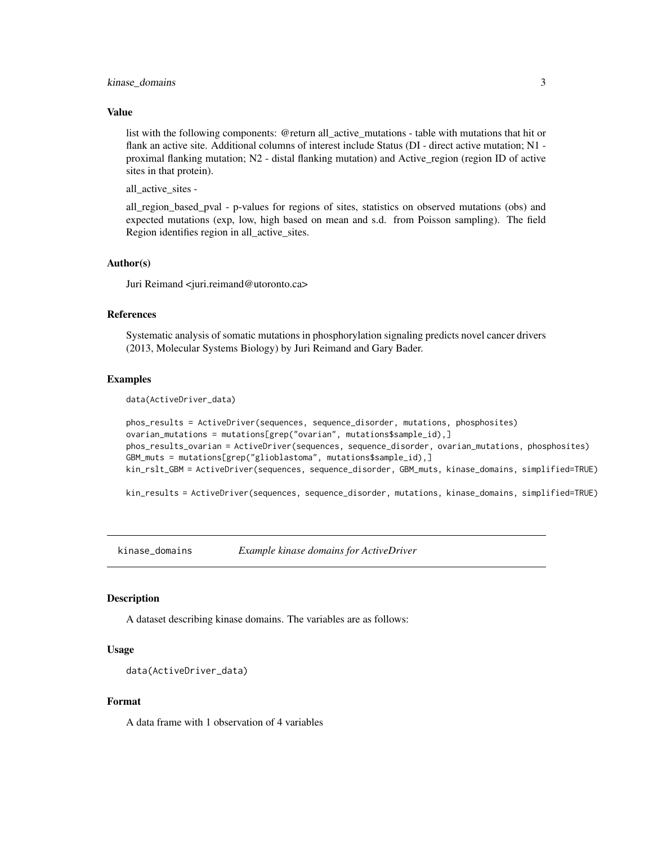#### <span id="page-2-0"></span>kinase\_domains 3

#### Value

list with the following components: @return all\_active\_mutations - table with mutations that hit or flank an active site. Additional columns of interest include Status (DI - direct active mutation; N1 proximal flanking mutation; N2 - distal flanking mutation) and Active\_region (region ID of active sites in that protein).

all\_active\_sites -

all\_region\_based\_pval - p-values for regions of sites, statistics on observed mutations (obs) and expected mutations (exp, low, high based on mean and s.d. from Poisson sampling). The field Region identifies region in all\_active\_sites.

#### Author(s)

Juri Reimand <juri.reimand@utoronto.ca>

#### References

Systematic analysis of somatic mutations in phosphorylation signaling predicts novel cancer drivers (2013, Molecular Systems Biology) by Juri Reimand and Gary Bader.

#### Examples

data(ActiveDriver\_data)

```
phos_results = ActiveDriver(sequences, sequence_disorder, mutations, phosphosites)
ovarian_mutations = mutations[grep("ovarian", mutations$sample_id),]
phos_results_ovarian = ActiveDriver(sequences, sequence_disorder, ovarian_mutations, phosphosites)
GBM_muts = mutations[grep("glioblastoma", mutations$sample_id),]
kin_rslt_GBM = ActiveDriver(sequences, sequence_disorder, GBM_muts, kinase_domains, simplified=TRUE)
```
kin\_results = ActiveDriver(sequences, sequence\_disorder, mutations, kinase\_domains, simplified=TRUE)

kinase\_domains *Example kinase domains for ActiveDriver*

#### **Description**

A dataset describing kinase domains. The variables are as follows:

#### Usage

```
data(ActiveDriver_data)
```
#### Format

A data frame with 1 observation of 4 variables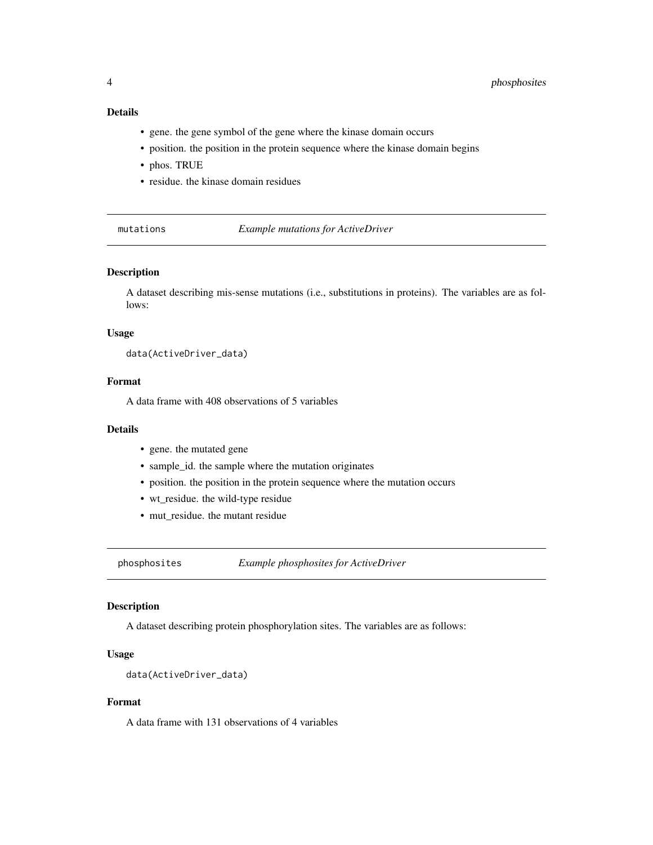#### <span id="page-3-0"></span>Details

- gene. the gene symbol of the gene where the kinase domain occurs
- position. the position in the protein sequence where the kinase domain begins
- phos. TRUE
- residue. the kinase domain residues

mutations *Example mutations for ActiveDriver*

#### Description

A dataset describing mis-sense mutations (i.e., substitutions in proteins). The variables are as follows:

#### Usage

data(ActiveDriver\_data)

#### Format

A data frame with 408 observations of 5 variables

#### Details

- gene. the mutated gene
- sample\_id. the sample where the mutation originates
- position. the position in the protein sequence where the mutation occurs
- wt\_residue. the wild-type residue
- mut\_residue. the mutant residue

phosphosites *Example phosphosites for ActiveDriver*

#### Description

A dataset describing protein phosphorylation sites. The variables are as follows:

#### Usage

```
data(ActiveDriver_data)
```
#### Format

A data frame with 131 observations of 4 variables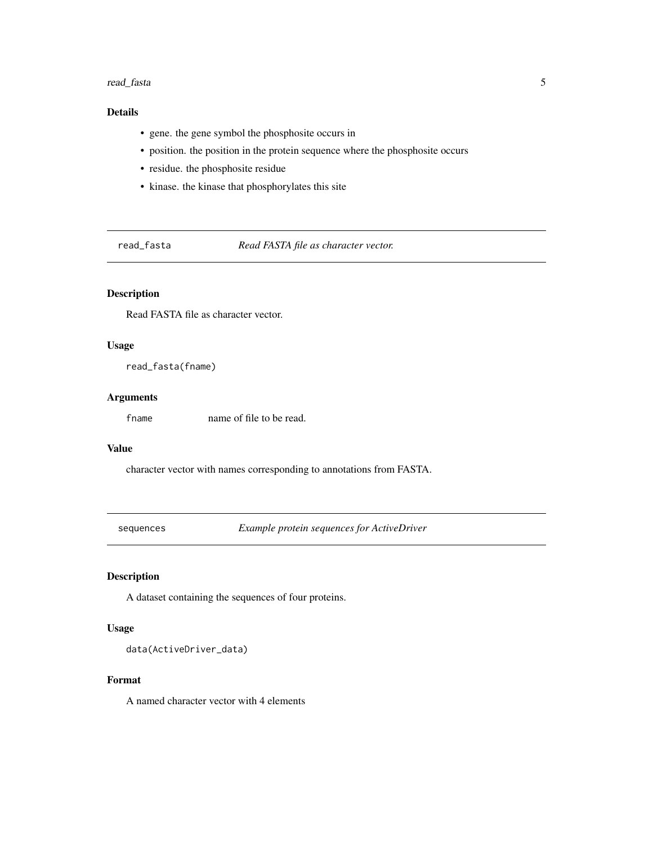#### <span id="page-4-0"></span>read\_fasta 5

#### Details

- gene. the gene symbol the phosphosite occurs in
- position. the position in the protein sequence where the phosphosite occurs
- residue. the phosphosite residue
- kinase. the kinase that phosphorylates this site

read\_fasta *Read FASTA file as character vector.*

#### Description

Read FASTA file as character vector.

#### Usage

read\_fasta(fname)

#### Arguments

fname name of file to be read.

#### Value

character vector with names corresponding to annotations from FASTA.

sequences *Example protein sequences for ActiveDriver*

#### Description

A dataset containing the sequences of four proteins.

#### Usage

data(ActiveDriver\_data)

#### Format

A named character vector with 4 elements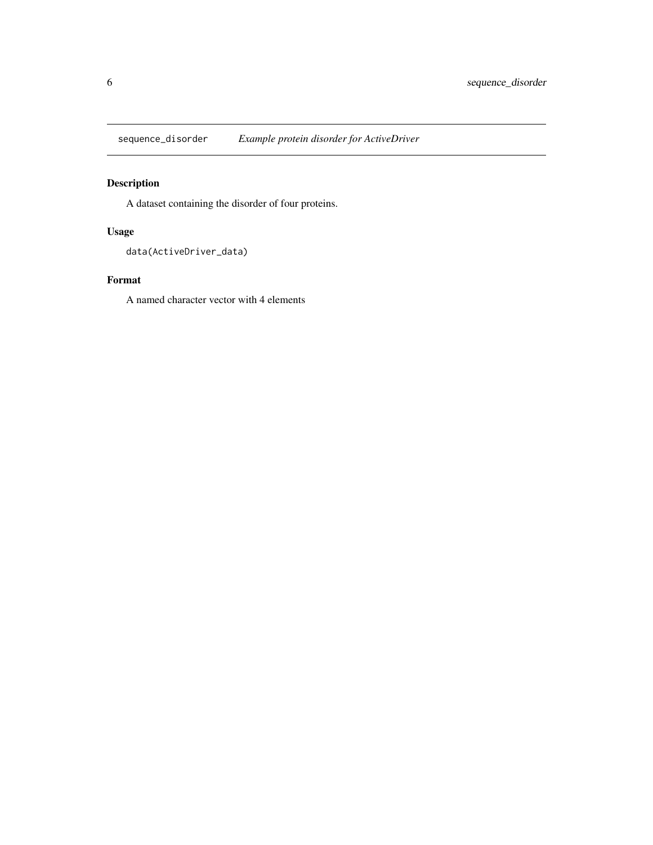<span id="page-5-0"></span>sequence\_disorder *Example protein disorder for ActiveDriver*

### Description

A dataset containing the disorder of four proteins.

#### Usage

```
data(ActiveDriver_data)
```
#### Format

A named character vector with 4 elements